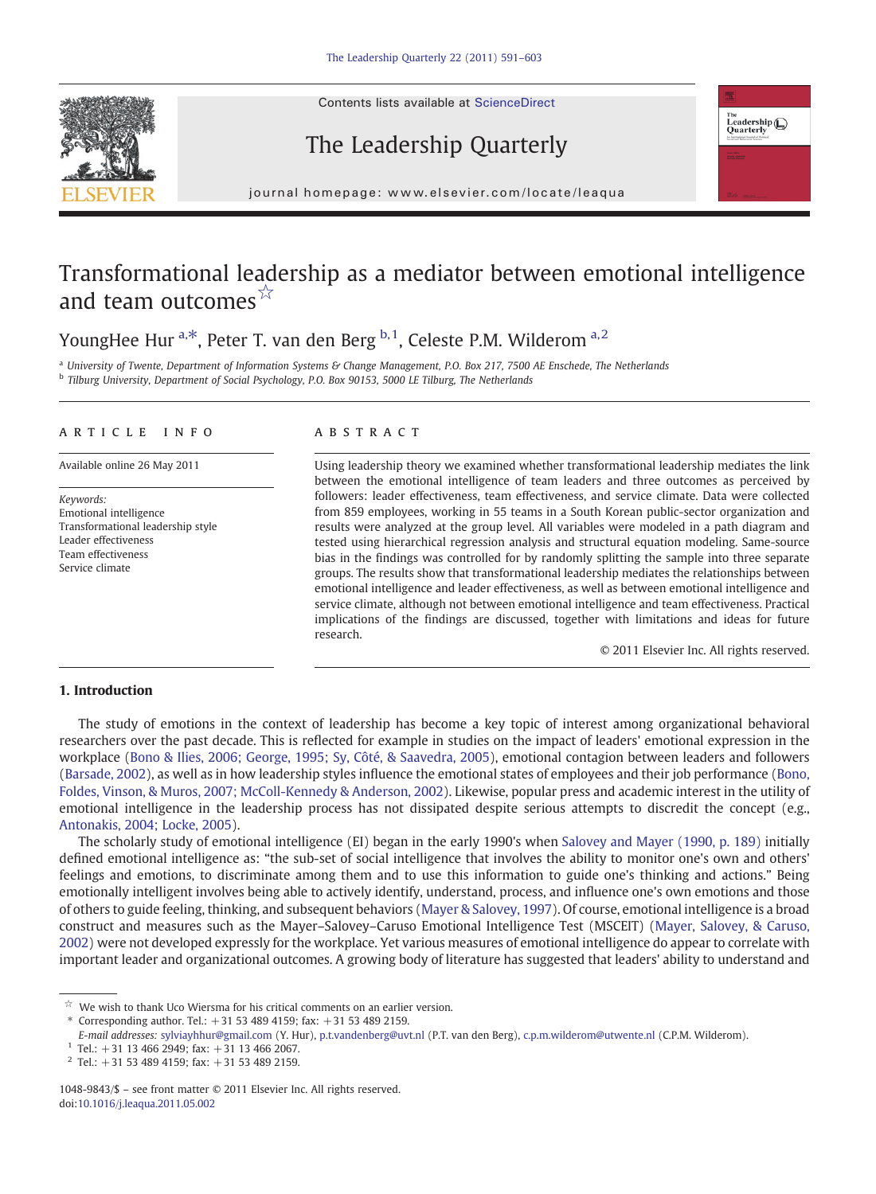Contents lists available at ScienceDirect





# The Leadership Quarterly

j o u r n a g e  $\mathbf{r}$  . We are even if  $\mathbf{r}$  is even  $\mathbf{r}$  and  $\mathbf{r}$  and  $\mathbf{r}$  and  $\mathbf{r}$  and  $\mathbf{r}$  and  $\mathbf{r}$  and  $\mathbf{r}$  and  $\mathbf{r}$  and  $\mathbf{r}$  and  $\mathbf{r}$  and  $\mathbf{r}$  and  $\mathbf{r}$  and  $\mathbf{r$ 

# Transformational leadership as a mediator between emotional intelligence and team outcomes  $\mathbb{A}$

YoungHee Hur  $a, *$ , Peter T. van den Berg  $b, 1$ , Celeste P.M. Wilderom  $a, 2$ 

 $a$  University of Twente, Department of Information Systems & Change Management, P.O. Box 217, 7500 AE Enschede, The Netherlands <sup>b</sup> Tilburg University, Department of Social Psychology, P.O. Box 90153, 5000 LE Tilburg, The Netherlands

## article info abstract

Keywords: Emotional intelligence Transformational leadership style Leader effectiveness Team effectiveness Service climate

Available online 26 May 2011 Using leadership theory we examined whether transformational leadership mediates the link between the emotional intelligence of team leaders and three outcomes as perceived by followers: leader effectiveness, team effectiveness, and service climate. Data were collected from 859 employees, working in 55 teams in a South Korean public-sector organization and results were analyzed at the group level. All variables were modeled in a path diagram and tested using hierarchical regression analysis and structural equation modeling. Same-source bias in the findings was controlled for by randomly splitting the sample into three separate groups. The results show that transformational leadership mediates the relationships between emotional intelligence and leader effectiveness, as well as between emotional intelligence and service climate, although not between emotional intelligence and team effectiveness. Practical implications of the findings are discussed, together with limitations and ideas for future research.

© 2011 Elsevier Inc. All rights reserved.

# 1. Introduction

The study of emotions in the context of leadership has become a key topic of interest among organizational behavioral researchers over the past decade. This is reflected for example in studies on the impact of leaders' emotional expression in the workplace ([Bono & Ilies, 2006; George, 1995; Sy, Côté, & Saavedra, 2005](#page--1-0)), emotional contagion between leaders and followers [\(Barsade, 2002\)](#page--1-0), as well as in how leadership styles influence the emotional states of employees and their job performance ([Bono,](#page--1-0) [Foldes, Vinson, & Muros, 2007; McColl-Kennedy & Anderson, 2002](#page--1-0)). Likewise, popular press and academic interest in the utility of emotional intelligence in the leadership process has not dissipated despite serious attempts to discredit the concept (e.g., [Antonakis, 2004; Locke, 2005\)](#page--1-0).

The scholarly study of emotional intelligence (EI) began in the early 1990's when [Salovey and Mayer \(1990, p. 189\)](#page--1-0) initially defined emotional intelligence as: "the sub-set of social intelligence that involves the ability to monitor one's own and others' feelings and emotions, to discriminate among them and to use this information to guide one's thinking and actions." Being emotionally intelligent involves being able to actively identify, understand, process, and influence one's own emotions and those of others to guide feeling, thinking, and subsequent behaviors ([Mayer & Salovey, 1997\)](#page--1-0). Of course, emotional intelligence is a broad construct and measures such as the Mayer–Salovey–Caruso Emotional Intelligence Test (MSCEIT) [\(Mayer, Salovey, & Caruso,](#page--1-0) [2002](#page--1-0)) were not developed expressly for the workplace. Yet various measures of emotional intelligence do appear to correlate with important leader and organizational outcomes. A growing body of literature has suggested that leaders' ability to understand and

 $\overrightarrow{r}$  We wish to thank Uco Wiersma for his critical comments on an earlier version.

<sup>⁎</sup> Corresponding author. Tel.: +31 53 489 4159; fax: +31 53 489 2159.

E-mail addresses: [sylviayhhur@gmail.com](mailto:sylviayhhur@gmail.com) (Y. Hur), [p.t.vandenberg@uvt.nl](mailto:p.t.vandenberg@uvt.nl) (P.T. van den Berg), [c.p.m.wilderom@utwente.nl](mailto:c.p.m.wilderom@utwente.nl) (C.P.M. Wilderom).

 $1$  Tel.: +31 13 466 2949; fax: +31 13 466 2067.

 $2$  Tel.: +31 53 489 4159; fax: +31 53 489 2159.

<sup>1048-9843/\$</sup> – see front matter © 2011 Elsevier Inc. All rights reserved. doi[:10.1016/j.leaqua.2011.05.002](http://dx.doi.org/10.1016/j.leaqua.2011.05.002)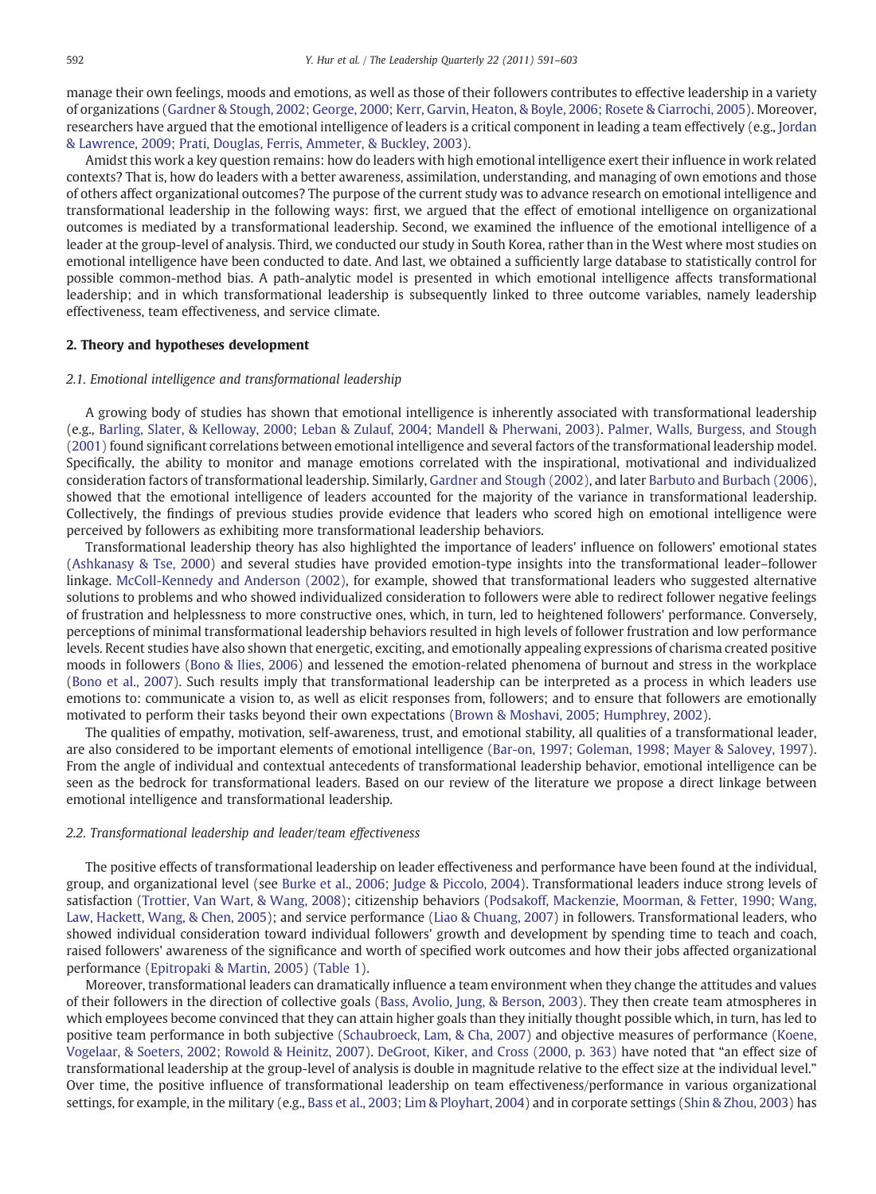manage their own feelings, moods and emotions, as well as those of their followers contributes to effective leadership in a variety of organizations [\(Gardner & Stough, 2002; George, 2000; Kerr, Garvin, Heaton, & Boyle, 2006; Rosete & Ciarrochi, 2005](#page--1-0)). Moreover, researchers have argued that the emotional intelligence of leaders is a critical component in leading a team effectively (e.g., [Jordan](#page--1-0) [& Lawrence, 2009; Prati, Douglas, Ferris, Ammeter, & Buckley, 2003](#page--1-0)).

Amidst this work a key question remains: how do leaders with high emotional intelligence exert their influence in work related contexts? That is, how do leaders with a better awareness, assimilation, understanding, and managing of own emotions and those of others affect organizational outcomes? The purpose of the current study was to advance research on emotional intelligence and transformational leadership in the following ways: first, we argued that the effect of emotional intelligence on organizational outcomes is mediated by a transformational leadership. Second, we examined the influence of the emotional intelligence of a leader at the group-level of analysis. Third, we conducted our study in South Korea, rather than in the West where most studies on emotional intelligence have been conducted to date. And last, we obtained a sufficiently large database to statistically control for possible common-method bias. A path-analytic model is presented in which emotional intelligence affects transformational leadership; and in which transformational leadership is subsequently linked to three outcome variables, namely leadership effectiveness, team effectiveness, and service climate.

### 2. Theory and hypotheses development

## 2.1. Emotional intelligence and transformational leadership

A growing body of studies has shown that emotional intelligence is inherently associated with transformational leadership (e.g., [Barling, Slater, & Kelloway, 2000; Leban & Zulauf, 2004; Mandell & Pherwani, 2003\)](#page--1-0). [Palmer, Walls, Burgess, and Stough](#page--1-0) [\(2001\)](#page--1-0) found significant correlations between emotional intelligence and several factors of the transformational leadership model. Specifically, the ability to monitor and manage emotions correlated with the inspirational, motivational and individualized consideration factors of transformational leadership. Similarly, [Gardner and Stough \(2002\)](#page--1-0), and later [Barbuto and Burbach \(2006\),](#page--1-0) showed that the emotional intelligence of leaders accounted for the majority of the variance in transformational leadership. Collectively, the findings of previous studies provide evidence that leaders who scored high on emotional intelligence were perceived by followers as exhibiting more transformational leadership behaviors.

Transformational leadership theory has also highlighted the importance of leaders' influence on followers' emotional states ([Ashkanasy & Tse, 2000\)](#page--1-0) and several studies have provided emotion-type insights into the transformational leader–follower linkage. [McColl-Kennedy and Anderson \(2002\),](#page--1-0) for example, showed that transformational leaders who suggested alternative solutions to problems and who showed individualized consideration to followers were able to redirect follower negative feelings of frustration and helplessness to more constructive ones, which, in turn, led to heightened followers' performance. Conversely, perceptions of minimal transformational leadership behaviors resulted in high levels of follower frustration and low performance levels. Recent studies have also shown that energetic, exciting, and emotionally appealing expressions of charisma created positive moods in followers [\(Bono & Ilies, 2006\)](#page--1-0) and lessened the emotion-related phenomena of burnout and stress in the workplace ([Bono et al., 2007\)](#page--1-0). Such results imply that transformational leadership can be interpreted as a process in which leaders use emotions to: communicate a vision to, as well as elicit responses from, followers; and to ensure that followers are emotionally motivated to perform their tasks beyond their own expectations ([Brown & Moshavi, 2005; Humphrey, 2002\)](#page--1-0).

The qualities of empathy, motivation, self-awareness, trust, and emotional stability, all qualities of a transformational leader, are also considered to be important elements of emotional intelligence [\(Bar-on, 1997; Goleman, 1998; Mayer & Salovey, 1997](#page--1-0)). From the angle of individual and contextual antecedents of transformational leadership behavior, emotional intelligence can be seen as the bedrock for transformational leaders. Based on our review of the literature we propose a direct linkage between emotional intelligence and transformational leadership.

## 2.2. Transformational leadership and leader/team effectiveness

The positive effects of transformational leadership on leader effectiveness and performance have been found at the individual, group, and organizational level (see [Burke et al., 2006; Judge & Piccolo, 2004](#page--1-0)). Transformational leaders induce strong levels of satisfaction [\(Trottier, Van Wart, & Wang, 2008\)](#page--1-0); citizenship behaviors [\(Podsakoff, Mackenzie, Moorman, & Fetter, 1990; Wang,](#page--1-0) [Law, Hackett, Wang, & Chen, 2005\)](#page--1-0); and service performance ([Liao & Chuang, 2007\)](#page--1-0) in followers. Transformational leaders, who showed individual consideration toward individual followers' growth and development by spending time to teach and coach, raised followers' awareness of the significance and worth of specified work outcomes and how their jobs affected organizational performance ([Epitropaki & Martin, 2005](#page--1-0)) ([Table 1](#page--1-0)).

Moreover, transformational leaders can dramatically influence a team environment when they change the attitudes and values of their followers in the direction of collective goals [\(Bass, Avolio, Jung, & Berson, 2003](#page--1-0)). They then create team atmospheres in which employees become convinced that they can attain higher goals than they initially thought possible which, in turn, has led to positive team performance in both subjective [\(Schaubroeck, Lam, & Cha, 2007\)](#page--1-0) and objective measures of performance ([Koene,](#page--1-0) [Vogelaar, & Soeters, 2002; Rowold & Heinitz, 2007\)](#page--1-0). [DeGroot, Kiker, and Cross \(2000, p. 363\)](#page--1-0) have noted that "an effect size of transformational leadership at the group-level of analysis is double in magnitude relative to the effect size at the individual level." Over time, the positive influence of transformational leadership on team effectiveness/performance in various organizational settings, for example, in the military (e.g., [Bass et al., 2003; Lim & Ployhart, 2004\)](#page--1-0) and in corporate settings [\(Shin & Zhou, 2003\)](#page--1-0) has